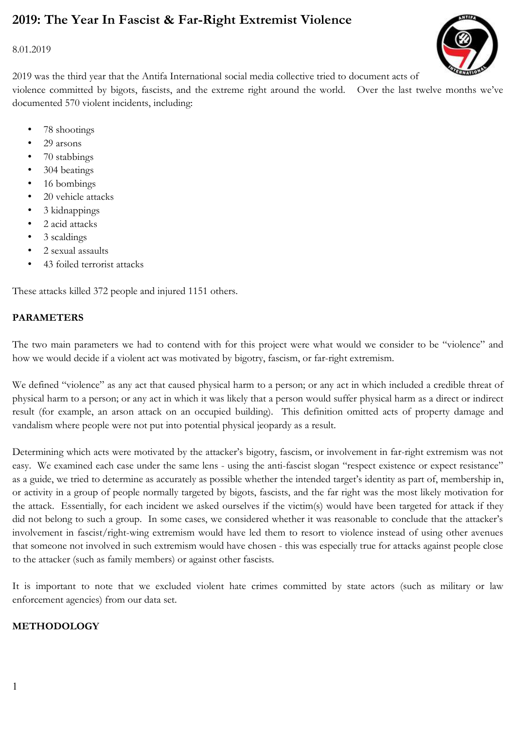# 2019: The Year In Fascist & Far-Right Extremist Violence

8.01.2019

2019 was the third year that the Antifa International social media collective tried to document acts of violence committed by bigots, fascists, and the extreme right around the world. Over the last twelve months we've documented 570 violent incidents, including:

- 78 shootings
- 29 arsons
- 70 stabbings
- 304 beatings
- 16 bombings
- 20 vehicle attacks
- 3 kidnappings
- 2 acid attacks
- 3 scaldings
- 2 sexual assaults
- 43 foiled terrorist attacks

These attacks killed 372 people and injured 1151 others.

# PARAMETERS

The two main parameters we had to contend with for this project were what would we consider to be "violence" and how we would decide if a violent act was motivated by bigotry, fascism, or far-right extremism.

We defined "violence" as any act that caused physical harm to a person; or any act in which included a credible threat of physical harm to a person; or any act in which it was likely that a person would suffer physical harm as a direct or indirect result (for example, an arson attack on an occupied building). This definition omitted acts of property damage and vandalism where people were not put into potential physical jeopardy as a result.

Determining which acts were motivated by the attacker's bigotry, fascism, or involvement in far-right extremism was not easy. We examined each case under the same lens - using the anti-fascist slogan "respect existence or expect resistance" as a guide, we tried to determine as accurately as possible whether the intended target's identity as part of, membership in, or activity in a group of people normally targeted by bigots, fascists, and the far right was the most likely motivation for the attack. Essentially, for each incident we asked ourselves if the victim(s) would have been targeted for attack if they did not belong to such a group. In some cases, we considered whether it was reasonable to conclude that the attacker's involvement in fascist/right-wing extremism would have led them to resort to violence instead of using other avenues that someone not involved in such extremism would have chosen - this was especially true for attacks against people close to the attacker (such as family members) or against other fascists.

It is important to note that we excluded violent hate crimes committed by state actors (such as military or law enforcement agencies) from our data set.

### METHODOLOGY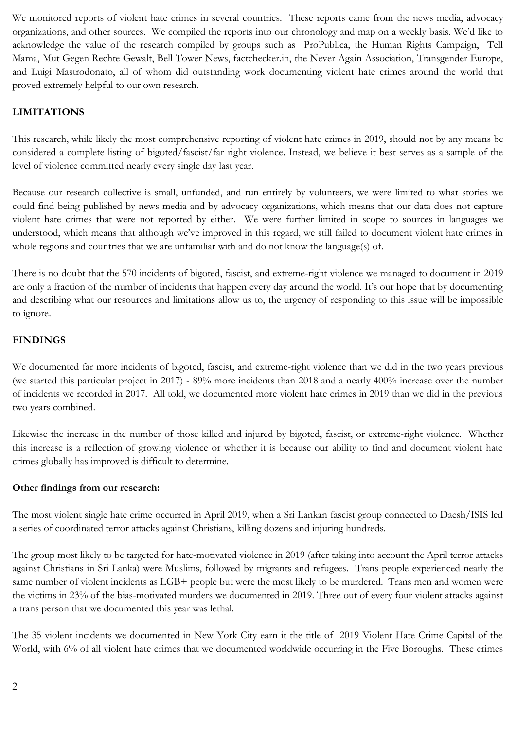We monitored reports of violent hate crimes in several countries. These reports came from the news media, advocacy organizations, and other sources. We compiled the reports into our chronology and map on a weekly basis. We'd like to acknowledge the value of the research compiled by groups such as ProPublica, the Human Rights Campaign, Tell Mama, Mut Gegen Rechte Gewalt, Bell Tower News, factchecker.in, the Never Again Association, Transgender Europe, and Luigi Mastrodonato, all of whom did outstanding work documenting violent hate crimes around the world that proved extremely helpful to our own research.

# LIMITATIONS

This research, while likely the most comprehensive reporting of violent hate crimes in 2019, should not by any means be considered a complete listing of bigoted/fascist/far right violence. Instead, we believe it best serves as a sample of the level of violence committed nearly every single day last year.

Because our research collective is small, unfunded, and run entirely by volunteers, we were limited to what stories we could find being published by news media and by advocacy organizations, which means that our data does not capture violent hate crimes that were not reported by either. We were further limited in scope to sources in languages we understood, which means that although we've improved in this regard, we still failed to document violent hate crimes in whole regions and countries that we are unfamiliar with and do not know the language(s) of.

There is no doubt that the 570 incidents of bigoted, fascist, and extreme-right violence we managed to document in 2019 are only a fraction of the number of incidents that happen every day around the world. It's our hope that by documenting and describing what our resources and limitations allow us to, the urgency of responding to this issue will be impossible to ignore.

# FINDINGS

We documented far more incidents of bigoted, fascist, and extreme-right violence than we did in the two years previous (we started this particular project in 2017) - 89% more incidents than 2018 and a nearly 400% increase over the number of incidents we recorded in 2017. All told, we documented more violent hate crimes in 2019 than we did in the previous two years combined.

Likewise the increase in the number of those killed and injured by bigoted, fascist, or extreme-right violence. Whether this increase is a reflection of growing violence or whether it is because our ability to find and document violent hate crimes globally has improved is difficult to determine.

### Other findings from our research:

The most violent single hate crime occurred in April 2019, when a Sri Lankan fascist group connected to Daesh/ISIS led a series of coordinated terror attacks against Christians, killing dozens and injuring hundreds.

The group most likely to be targeted for hate-motivated violence in 2019 (after taking into account the April terror attacks against Christians in Sri Lanka) were Muslims, followed by migrants and refugees. Trans people experienced nearly the same number of violent incidents as LGB+ people but were the most likely to be murdered. Trans men and women were the victims in 23% of the bias-motivated murders we documented in 2019. Three out of every four violent attacks against a trans person that we documented this year was lethal.

The 35 violent incidents we documented in New York City earn it the title of 2019 Violent Hate Crime Capital of the World, with 6% of all violent hate crimes that we documented worldwide occurring in the Five Boroughs. These crimes